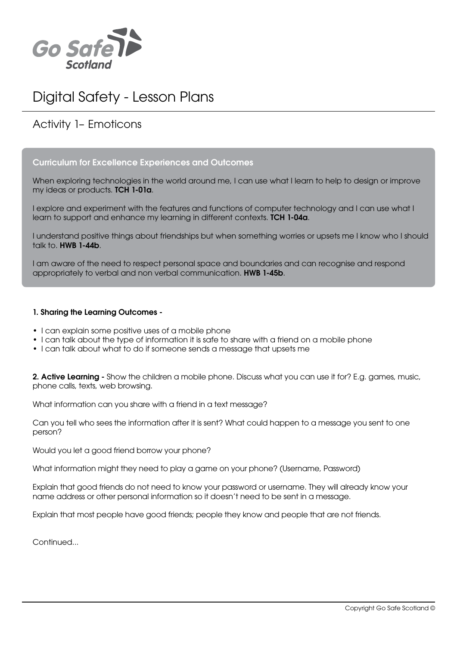

# Digital Safety - Lesson Plans

# Activity 1– Emoticons

### Curriculum for Excellence Experiences and Outcomes

When exploring technologies in the world around me, I can use what I learn to help to design or improve my ideas or products. TCH 1-01a.

I explore and experiment with the features and functions of computer technology and I can use what I learn to support and enhance my learning in different contexts. TCH 1-04a.

I understand positive things about friendships but when something worries or upsets me I know who I should talk to. HWB 1-44b.

I am aware of the need to respect personal space and boundaries and can recognise and respond appropriately to verbal and non verbal communication. HWB 1-45b.

#### 1. Sharing the Learning Outcomes -

- I can explain some positive uses of a mobile phone
- I can talk about the type of information it is safe to share with a friend on a mobile phone
- I can talk about what to do if someone sends a message that upsets me

2. Active Learning - Show the children a mobile phone. Discuss what you can use it for? E.g. games, music, phone calls, texts, web browsing.

What information can you share with a friend in a text message?

Can you tell who sees the information after it is sent? What could happen to a message you sent to one person?

Would you let a good friend borrow your phone?

What information might they need to play a game on your phone? (Username, Password)

Explain that good friends do not need to know your password or username. They will already know your name address or other personal information so it doesn't need to be sent in a message.

Explain that most people have good friends; people they know and people that are not friends.

Continued...